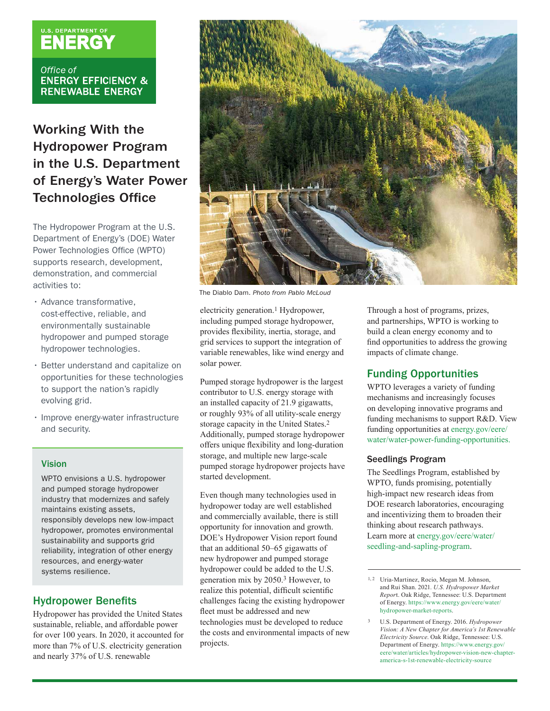# **U.S. DEPARTMENT OF**

Office of **ENERGY EFFICIENCY & RENEWABLE ENERGY** 

## Working With the Hydropower Program in the U.S. Department of Energy's Water Power **Technologies Office**

The Hydropower Program at the U.S. Department of Energy's (DOE) Water Power Technologies Office (WPTO) supports research, development, demonstration, and commercial activities to:

- Advance transformative, cost-effective, reliable, and environmentally sustainable hydropower and pumped storage hydropower technologies.
- Better understand and capitalize on opportunities for these technologies to support the nation's rapidly evolving grid.
- Improve energy-water infrastructure and security.

#### Vision

WPTO envisions a U.S. hydropower and pumped storage hydropower industry that modernizes and safely maintains existing assets, responsibly develops new low-impact hydropower, promotes environmental sustainability and supports grid reliability, integration of other energy resources, and energy-water systems resilience.

#### **Hydropower Benefits**

Hydropower has provided the United States sustainable, reliable, and affordable power for over 100 years. In 2020, it accounted for more than 7% of U.S. electricity generation and nearly 37% of U.S. renewable



The Diablo Dam. *Photo from Pablo McLoud* 

electricity generation.1 Hydropower, including pumped storage hydropower, provides flexibility, inertia, storage, and grid services to support the integration of variable renewables, like wind energy and solar power.

Pumped storage hydropower is the largest contributor to U.S. energy storage with an installed capacity of 21.9 gigawatts, or roughly 93% of all utility-scale energy storage capacity in the United States.2 Additionally, pumped storage hydropower offers unique flexibility and long-duration storage, and multiple new large-scale pumped storage hydropower projects have started development.

Even though many technologies used in hydropower today are well established and commercially available, there is still opportunity for innovation and growth. DOE's Hydropower Vision report found that an additional 50–65 gigawatts of new hydropower and pumped storage hydropower could be added to the U.S. generation mix by 2050.3 However, to realize this potential, difficult scientific challenges facing the existing hydropower fleet must be addressed and new technologies must be developed to reduce the costs and environmental impacts of new projects.

Through a host of programs, prizes, and partnerships, WPTO is working to build a clean energy economy and to find opportunities to address the growing impacts of climate change.

#### Funding Opportunities

WPTO leverages a variety of funding mechanisms and increasingly focuses on developing innovative programs and funding mechanisms to support R&D. View funding opportunities at [energy.gov/eere/](http://energy.gov/eere/water/water-power-funding-opportunities) [water/water-power-funding-opportunities](http://energy.gov/eere/water/water-power-funding-opportunities).

#### Seedlings Program

The Seedlings Program, established by WPTO, funds promising, potentially high-impact new research ideas from DOE research laboratories, encouraging and incentivizing them to broaden their thinking about research pathways. Learn more at [energy.gov/eere/water/](http://energy.gov/eere/water/seedling-and-sapling-program)  [seedling-and-sapling-program](http://energy.gov/eere/water/seedling-and-sapling-program).

3 U.S. Department of Energy. 2016. *Hydropower Vision: A New Chapter for America's 1st Renewable Electricity Source*. Oak Ridge, Tennessee: U.S. Department of Energy. [https://www.energy.gov/](https://www.energy.gov/eere/water/articles/hydropower-vision-new-chapter-america-s-1st-renewable-electricity-source) [eere/water/articles/hydropower-vision-new-chapter](https://www.energy.gov/eere/water/articles/hydropower-vision-new-chapter-america-s-1st-renewable-electricity-source)[america-s-1st-renewable-electricity-source](https://www.energy.gov/eere/water/articles/hydropower-vision-new-chapter-america-s-1st-renewable-electricity-source)

<sup>&</sup>lt;sup>1, 2</sup> Uria-Martinez, Rocio, Megan M. Johnson, and Rui Shan. 2021. *U.S. Hydropower Market Repor*t. Oak Ridge, Tennessee: U.S. Department of Energy. [https://www.energy.gov/eere/water/](https://www.energy.gov/eere/water/hydropower-market-reports)  [hydropower-market-reports](https://www.energy.gov/eere/water/hydropower-market-reports).